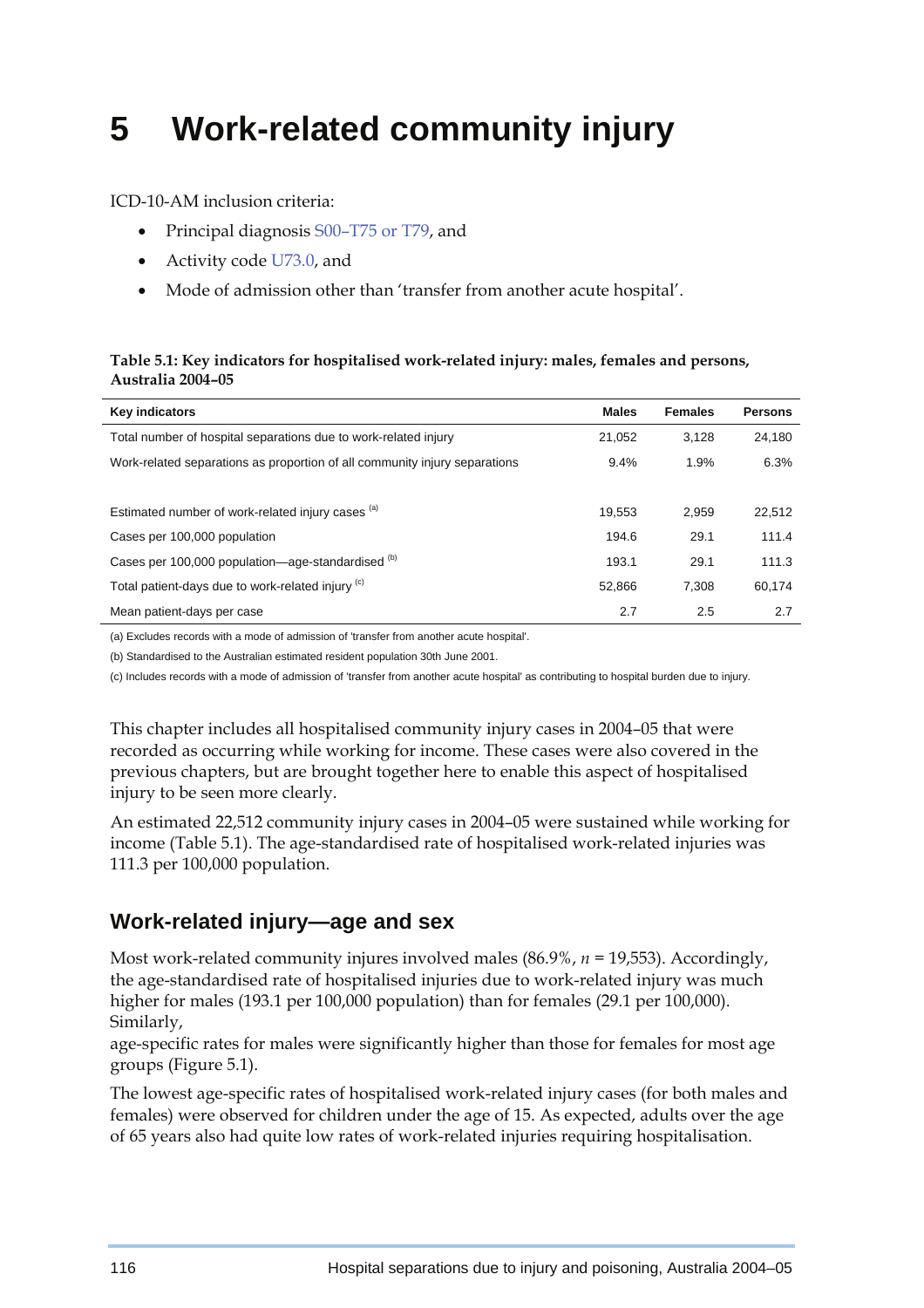# **5 Work-related community injury**

ICD-10-AM inclusion criteria:

- Principal diagnosis S00–T75 or T79, and
- Activity code U73.0, and
- Mode of admission other than 'transfer from another acute hospital'.

#### **Table 5.1: Key indicators for hospitalised work-related injury: males, females and persons, Australia 2004–05**

| <b>Key indicators</b>                                                      | <b>Males</b> | <b>Females</b> | <b>Persons</b> |
|----------------------------------------------------------------------------|--------------|----------------|----------------|
| Total number of hospital separations due to work-related injury            | 21.052       | 3.128          | 24.180         |
| Work-related separations as proportion of all community injury separations | 9.4%         | 1.9%           | 6.3%           |
|                                                                            |              |                |                |
| Estimated number of work-related injury cases (a)                          | 19.553       | 2.959          | 22,512         |
| Cases per 100,000 population                                               | 194.6        | 29.1           | 111.4          |
| Cases per 100,000 population—age-standardised <sup>(b)</sup>               | 193.1        | 29.1           | 111.3          |
| Total patient-days due to work-related injury (c)                          | 52.866       | 7.308          | 60,174         |
| Mean patient-days per case                                                 | 2.7          | 2.5            | 2.7            |

(a) Excludes records with a mode of admission of 'transfer from another acute hospital'.

(b) Standardised to the Australian estimated resident population 30th June 2001.

(c) Includes records with a mode of admission of 'transfer from another acute hospital' as contributing to hospital burden due to injury.

This chapter includes all hospitalised community injury cases in 2004–05 that were recorded as occurring while working for income. These cases were also covered in the previous chapters, but are brought together here to enable this aspect of hospitalised injury to be seen more clearly.

An estimated 22,512 community injury cases in 2004–05 were sustained while working for income (Table 5.1). The age-standardised rate of hospitalised work-related injuries was 111.3 per 100,000 population.

## **Work-related injury—age and sex**

Most work-related community injures involved males (86.9%, *n =* 19,553). Accordingly, the age-standardised rate of hospitalised injuries due to work-related injury was much higher for males (193.1 per 100,000 population) than for females (29.1 per 100,000). Similarly,

age-specific rates for males were significantly higher than those for females for most age groups (Figure 5.1).

The lowest age-specific rates of hospitalised work-related injury cases (for both males and females) were observed for children under the age of 15. As expected, adults over the age of 65 years also had quite low rates of work-related injuries requiring hospitalisation.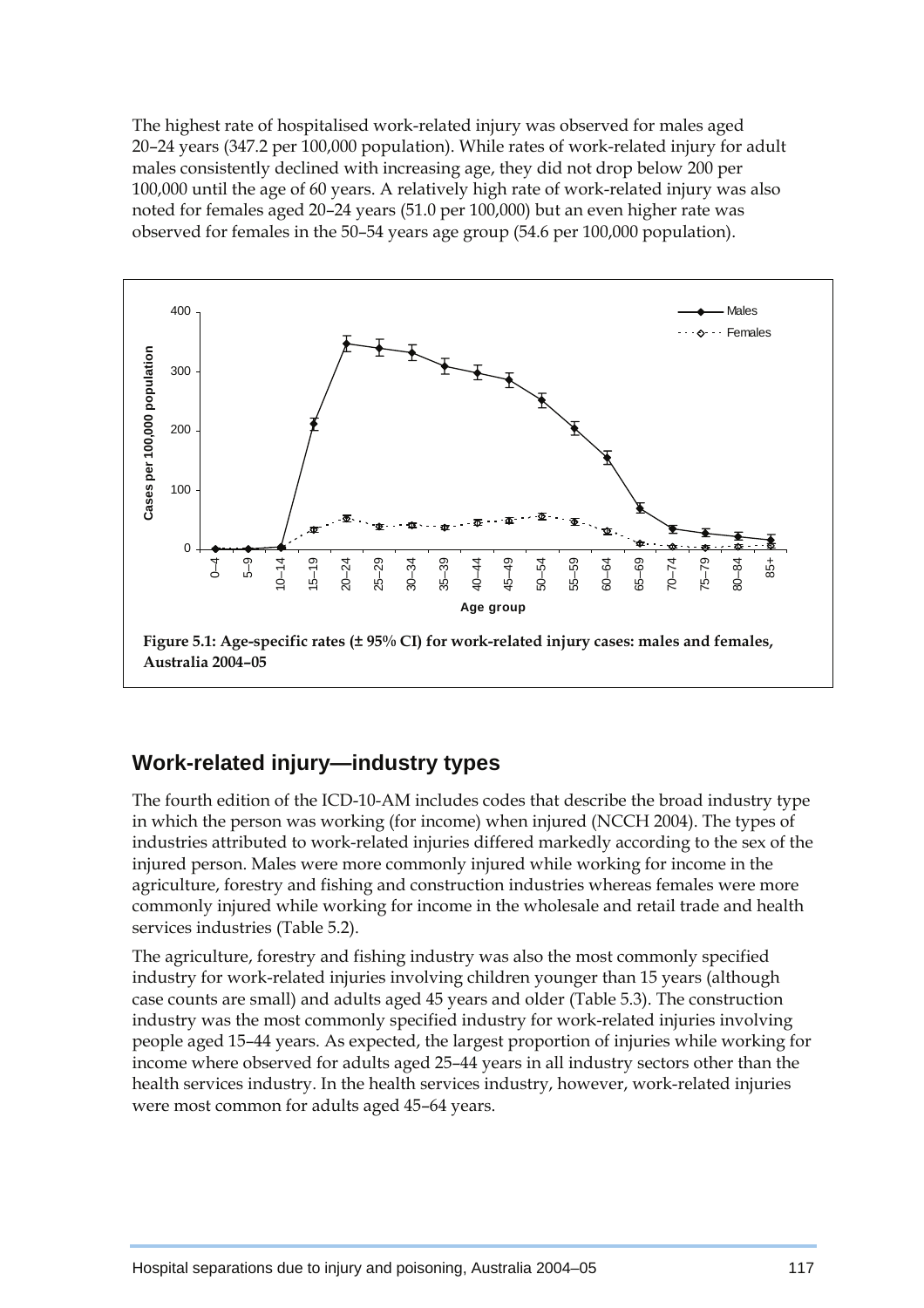The highest rate of hospitalised work-related injury was observed for males aged 20–24 years (347.2 per 100,000 population). While rates of work-related injury for adult males consistently declined with increasing age, they did not drop below 200 per 100,000 until the age of 60 years. A relatively high rate of work-related injury was also noted for females aged 20–24 years (51.0 per 100,000) but an even higher rate was observed for females in the 50–54 years age group (54.6 per 100,000 population).



## **Work-related injury—industry types**

The fourth edition of the ICD-10-AM includes codes that describe the broad industry type in which the person was working (for income) when injured (NCCH 2004). The types of industries attributed to work-related injuries differed markedly according to the sex of the injured person. Males were more commonly injured while working for income in the agriculture, forestry and fishing and construction industries whereas females were more commonly injured while working for income in the wholesale and retail trade and health services industries (Table 5.2).

The agriculture, forestry and fishing industry was also the most commonly specified industry for work-related injuries involving children younger than 15 years (although case counts are small) and adults aged 45 years and older (Table 5.3). The construction industry was the most commonly specified industry for work-related injuries involving people aged 15–44 years. As expected, the largest proportion of injuries while working for income where observed for adults aged 25–44 years in all industry sectors other than the health services industry. In the health services industry, however, work-related injuries were most common for adults aged 45–64 years.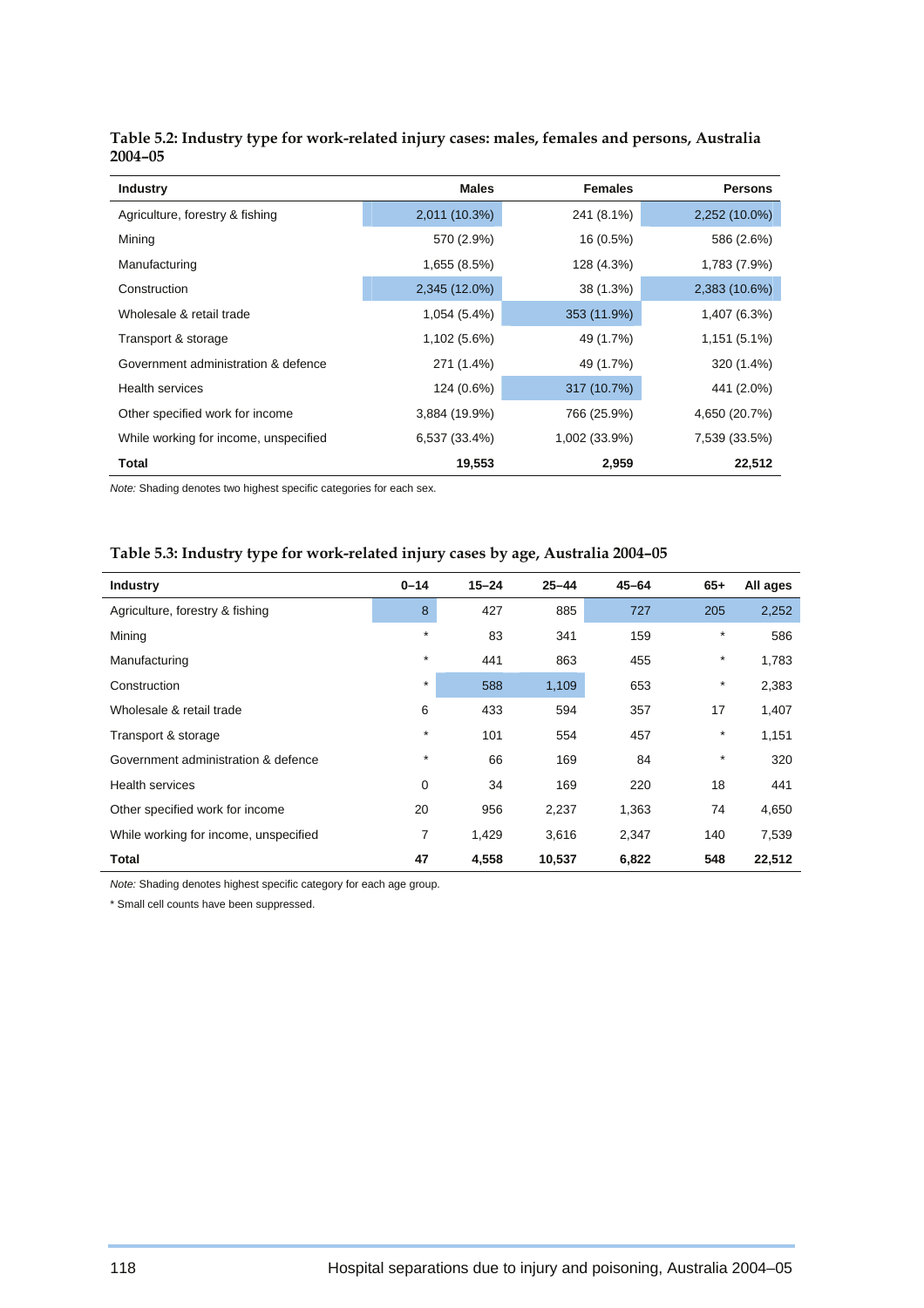| <b>Industry</b>                       | <b>Males</b>  | <b>Females</b> | <b>Persons</b> |
|---------------------------------------|---------------|----------------|----------------|
| Agriculture, forestry & fishing       | 2,011 (10.3%) | 241 (8.1%)     | 2,252 (10.0%)  |
| Mining                                | 570 (2.9%)    | 16 (0.5%)      | 586 (2.6%)     |
| Manufacturing                         | 1,655 (8.5%)  | 128 (4.3%)     | 1,783 (7.9%)   |
| Construction                          | 2,345 (12.0%) | 38 (1.3%)      | 2,383 (10.6%)  |
| Wholesale & retail trade              | 1,054 (5.4%)  | 353 (11.9%)    | 1,407 (6.3%)   |
| Transport & storage                   | 1,102 (5.6%)  | 49 (1.7%)      | 1,151 (5.1%)   |
| Government administration & defence   | 271 (1.4%)    | 49 (1.7%)      | 320 (1.4%)     |
| <b>Health services</b>                | 124 (0.6%)    | 317 (10.7%)    | 441 (2.0%)     |
| Other specified work for income       | 3,884 (19.9%) | 766 (25.9%)    | 4,650 (20.7%)  |
| While working for income, unspecified | 6,537 (33.4%) | 1,002 (33.9%)  | 7,539 (33.5%)  |
| Total                                 | 19,553        | 2,959          | 22,512         |

| Table 5.2: Industry type for work-related injury cases: males, females and persons, Australia |  |
|-----------------------------------------------------------------------------------------------|--|
| 2004-05                                                                                       |  |

*Note:* Shading denotes two highest specific categories for each sex.

### **Table 5.3: Industry type for work-related injury cases by age, Australia 2004–05**

| <b>Industry</b>                       | $0 - 14$ | $15 - 24$ | $25 - 44$ | $45 - 64$ | $65+$   | All ages |
|---------------------------------------|----------|-----------|-----------|-----------|---------|----------|
| Agriculture, forestry & fishing       | 8        | 427       | 885       | 727       | 205     | 2,252    |
| Mining                                | $\star$  | 83        | 341       | 159       | $\star$ | 586      |
| Manufacturing                         | $\star$  | 441       | 863       | 455       | $\star$ | 1,783    |
| Construction                          | $\ast$   | 588       | 1,109     | 653       | $\star$ | 2,383    |
| Wholesale & retail trade              | 6        | 433       | 594       | 357       | 17      | 1,407    |
| Transport & storage                   | $\star$  | 101       | 554       | 457       | $\star$ | 1,151    |
| Government administration & defence   | $\star$  | 66        | 169       | 84        | $\star$ | 320      |
| <b>Health services</b>                | 0        | 34        | 169       | 220       | 18      | 441      |
| Other specified work for income       | 20       | 956       | 2,237     | 1,363     | 74      | 4,650    |
| While working for income, unspecified | 7        | 1,429     | 3,616     | 2,347     | 140     | 7,539    |
| <b>Total</b>                          | 47       | 4,558     | 10,537    | 6,822     | 548     | 22,512   |

*Note:* Shading denotes highest specific category for each age group.

\* Small cell counts have been suppressed.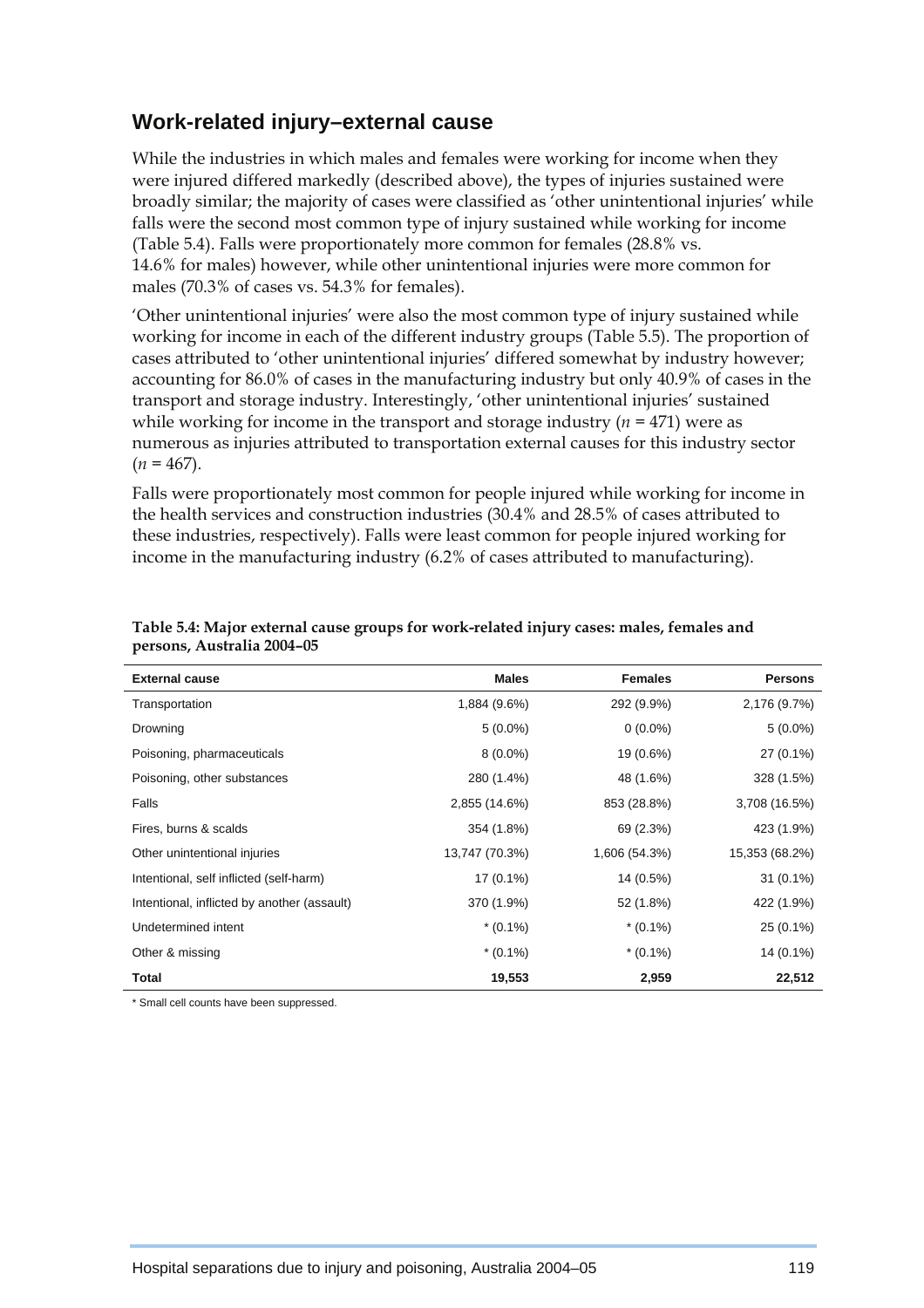## **Work-related injury–external cause**

While the industries in which males and females were working for income when they were injured differed markedly (described above), the types of injuries sustained were broadly similar; the majority of cases were classified as 'other unintentional injuries' while falls were the second most common type of injury sustained while working for income (Table 5.4). Falls were proportionately more common for females (28.8% vs. 14.6% for males) however, while other unintentional injuries were more common for males (70.3% of cases vs. 54.3% for females).

'Other unintentional injuries' were also the most common type of injury sustained while working for income in each of the different industry groups (Table 5.5). The proportion of cases attributed to 'other unintentional injuries' differed somewhat by industry however; accounting for 86.0% of cases in the manufacturing industry but only 40.9% of cases in the transport and storage industry. Interestingly, 'other unintentional injuries' sustained while working for income in the transport and storage industry (*n =* 471) were as numerous as injuries attributed to transportation external causes for this industry sector  $(n = 467)$ .

Falls were proportionately most common for people injured while working for income in the health services and construction industries (30.4% and 28.5% of cases attributed to these industries, respectively). Falls were least common for people injured working for income in the manufacturing industry (6.2% of cases attributed to manufacturing).

| <b>External cause</b>                       | <b>Males</b>   | <b>Females</b> | <b>Persons</b> |
|---------------------------------------------|----------------|----------------|----------------|
| Transportation                              | 1,884 (9.6%)   | 292 (9.9%)     | 2,176 (9.7%)   |
| Drowning                                    | $5(0.0\%)$     | $0(0.0\%)$     | $5(0.0\%)$     |
| Poisoning, pharmaceuticals                  | $8(0.0\%)$     | 19 (0.6%)      | 27 (0.1%)      |
| Poisoning, other substances                 | 280 (1.4%)     | 48 (1.6%)      | 328 (1.5%)     |
| Falls                                       | 2,855 (14.6%)  | 853 (28.8%)    | 3,708 (16.5%)  |
| Fires, burns & scalds                       | 354 (1.8%)     | 69 (2.3%)      | 423 (1.9%)     |
| Other unintentional injuries                | 13,747 (70.3%) | 1,606 (54.3%)  | 15,353 (68.2%) |
| Intentional, self inflicted (self-harm)     | $17(0.1\%)$    | 14 (0.5%)      | $31(0.1\%)$    |
| Intentional, inflicted by another (assault) | 370 (1.9%)     | 52 (1.8%)      | 422 (1.9%)     |
| Undetermined intent                         | $*(0.1\%)$     | $*(0.1\%)$     | 25 (0.1%)      |
| Other & missing                             | $*(0.1\%)$     | $*(0.1\%)$     | 14 (0.1%)      |
| Total                                       | 19,553         | 2,959          | 22,512         |

#### **Table 5.4: Major external cause groups for work-related injury cases: males, females and persons, Australia 2004–05**

\* Small cell counts have been suppressed.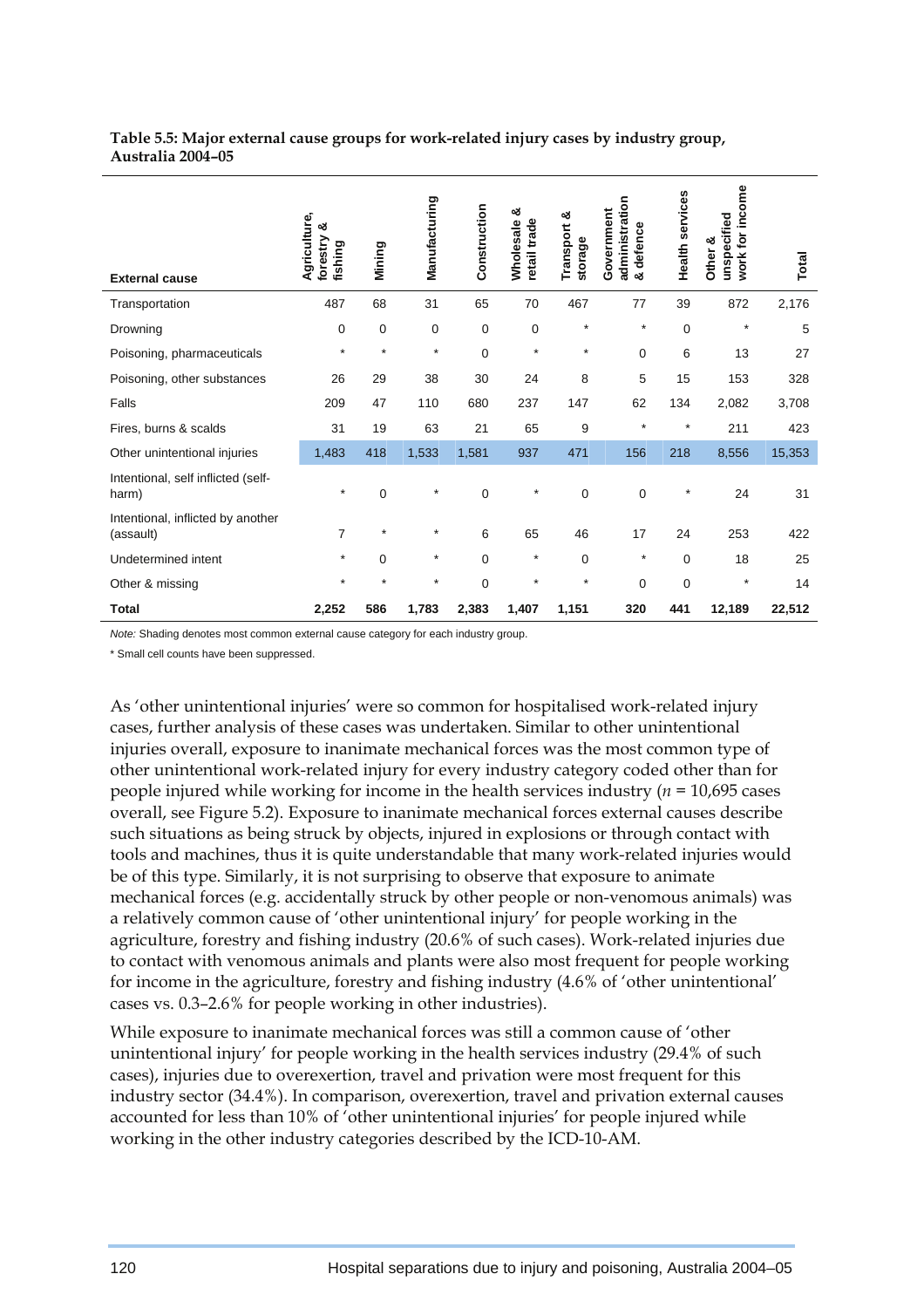#### **Table 5.5: Major external cause groups for work-related injury cases by industry group, Australia 2004–05**

| <b>External cause</b>                          | Agriculture,<br>ఱ<br>forestry<br>fishing | Mining  | Manufacturing | Construction | ఱ<br>retail trade<br>Wholesale | Transport &<br>storage | administration<br>Government<br>defence<br>න් | Health services | income<br>unspecified<br>work for<br>Other & | Total  |
|------------------------------------------------|------------------------------------------|---------|---------------|--------------|--------------------------------|------------------------|-----------------------------------------------|-----------------|----------------------------------------------|--------|
| Transportation                                 | 487                                      | 68      | 31            | 65           | 70                             | 467                    | 77                                            | 39              | 872                                          | 2,176  |
| Drowning                                       | 0                                        | 0       | $\mathbf 0$   | $\mathbf 0$  | 0                              | $\star$                | $\star$                                       | 0               | $\star$                                      | 5      |
| Poisoning, pharmaceuticals                     | $\star$                                  | $\star$ | $\star$       | $\mathbf 0$  | $\star$                        | $\star$                | 0                                             | 6               | 13                                           | 27     |
| Poisoning, other substances                    | 26                                       | 29      | 38            | 30           | 24                             | 8                      | 5                                             | 15              | 153                                          | 328    |
| Falls                                          | 209                                      | 47      | 110           | 680          | 237                            | 147                    | 62                                            | 134             | 2,082                                        | 3,708  |
| Fires, burns & scalds                          | 31                                       | 19      | 63            | 21           | 65                             | 9                      | $\star$                                       | $\star$         | 211                                          | 423    |
| Other unintentional injuries                   | 1,483                                    | 418     | 1,533         | 1,581        | 937                            | 471                    | 156                                           | 218             | 8,556                                        | 15,353 |
| Intentional, self inflicted (self-<br>harm)    | $\star$                                  | 0       | $\star$       | 0            | $\star$                        | $\mathbf 0$            | 0                                             | $\star$         | 24                                           | 31     |
| Intentional, inflicted by another<br>(assault) | $\overline{7}$                           | $\star$ | $\star$       | 6            | 65                             | 46                     | 17                                            | 24              | 253                                          | 422    |
| Undetermined intent                            | $\star$                                  | 0       | $\star$       | $\Omega$     | $\star$                        | $\mathbf 0$            | $\star$                                       | $\Omega$        | 18                                           | 25     |
| Other & missing                                | $\star$                                  | $\star$ | $\star$       | $\Omega$     | $\star$                        | $\star$                | $\Omega$                                      | $\Omega$        | $\star$                                      | 14     |
| <b>Total</b>                                   | 2,252                                    | 586     | 1,783         | 2,383        | 1,407                          | 1,151                  | 320                                           | 441             | 12,189                                       | 22,512 |

*Note:* Shading denotes most common external cause category for each industry group.

\* Small cell counts have been suppressed.

As 'other unintentional injuries' were so common for hospitalised work-related injury cases, further analysis of these cases was undertaken. Similar to other unintentional injuries overall, exposure to inanimate mechanical forces was the most common type of other unintentional work-related injury for every industry category coded other than for people injured while working for income in the health services industry (*n =* 10,695 cases overall, see Figure 5.2). Exposure to inanimate mechanical forces external causes describe such situations as being struck by objects, injured in explosions or through contact with tools and machines, thus it is quite understandable that many work-related injuries would be of this type. Similarly, it is not surprising to observe that exposure to animate mechanical forces (e.g. accidentally struck by other people or non-venomous animals) was a relatively common cause of 'other unintentional injury' for people working in the agriculture, forestry and fishing industry (20.6% of such cases). Work-related injuries due to contact with venomous animals and plants were also most frequent for people working for income in the agriculture, forestry and fishing industry (4.6% of 'other unintentional' cases vs. 0.3–2.6% for people working in other industries).

While exposure to inanimate mechanical forces was still a common cause of 'other unintentional injury' for people working in the health services industry (29.4% of such cases), injuries due to overexertion, travel and privation were most frequent for this industry sector (34.4%). In comparison, overexertion, travel and privation external causes accounted for less than 10% of 'other unintentional injuries' for people injured while working in the other industry categories described by the ICD-10-AM.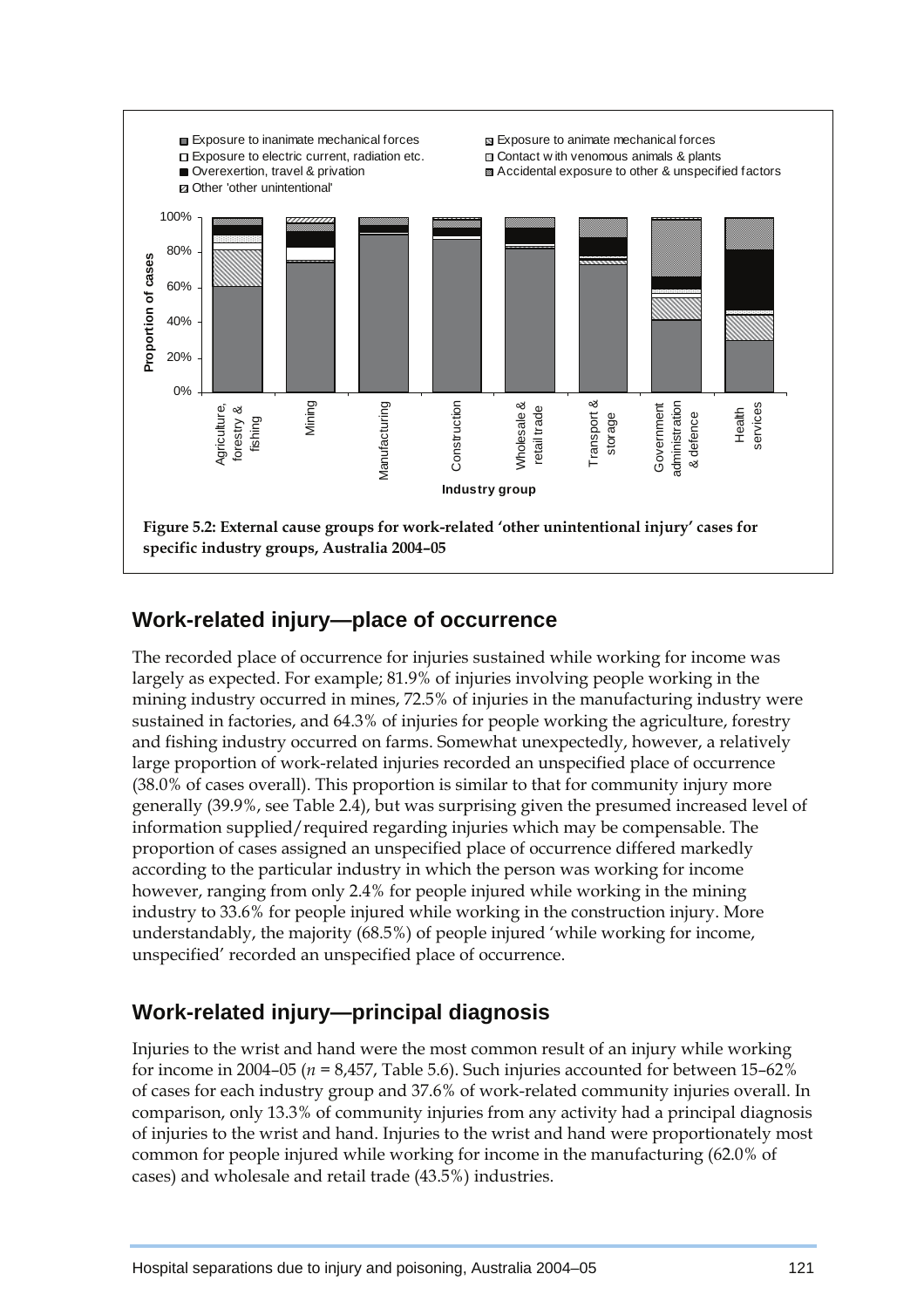

## **Work-related injury—place of occurrence**

The recorded place of occurrence for injuries sustained while working for income was largely as expected. For example; 81.9% of injuries involving people working in the mining industry occurred in mines, 72.5% of injuries in the manufacturing industry were sustained in factories, and 64.3% of injuries for people working the agriculture, forestry and fishing industry occurred on farms. Somewhat unexpectedly, however, a relatively large proportion of work-related injuries recorded an unspecified place of occurrence (38.0% of cases overall). This proportion is similar to that for community injury more generally (39.9%, see Table 2.4), but was surprising given the presumed increased level of information supplied/required regarding injuries which may be compensable. The proportion of cases assigned an unspecified place of occurrence differed markedly according to the particular industry in which the person was working for income however, ranging from only 2.4% for people injured while working in the mining industry to 33.6% for people injured while working in the construction injury. More understandably, the majority (68.5%) of people injured 'while working for income, unspecified' recorded an unspecified place of occurrence.

## **Work-related injury—principal diagnosis**

Injuries to the wrist and hand were the most common result of an injury while working for income in 2004–05 ( $n = 8,457$ , Table 5.6). Such injuries accounted for between 15–62% of cases for each industry group and 37.6% of work-related community injuries overall. In comparison, only 13.3% of community injuries from any activity had a principal diagnosis of injuries to the wrist and hand. Injuries to the wrist and hand were proportionately most common for people injured while working for income in the manufacturing (62.0% of cases) and wholesale and retail trade (43.5%) industries.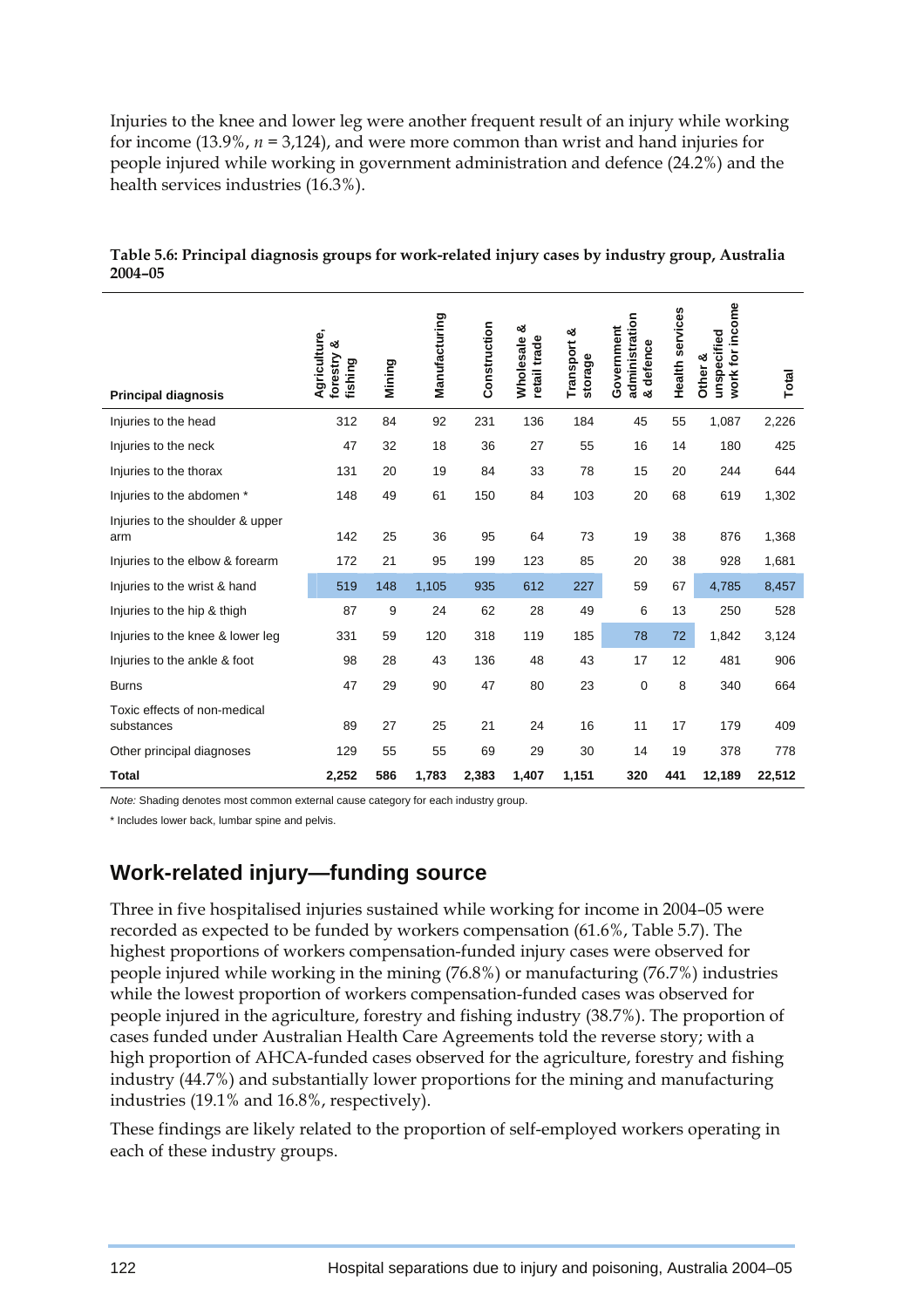Injuries to the knee and lower leg were another frequent result of an injury while working for income (13.9%, *n =* 3,124), and were more common than wrist and hand injuries for people injured while working in government administration and defence (24.2%) and the health services industries (16.3%).

|                                            | Agriculture,<br>ఱ<br>forestry<br>fishing | Mining | Manufacturing | Construction | య<br><b>Wholesale</b><br>retail trade | య<br>Transport<br>storage | administration<br>Government<br>defence | Health services | work for income<br>unspecified<br>Other & |        |
|--------------------------------------------|------------------------------------------|--------|---------------|--------------|---------------------------------------|---------------------------|-----------------------------------------|-----------------|-------------------------------------------|--------|
| <b>Principal diagnosis</b>                 |                                          |        |               |              |                                       |                           | න්                                      |                 |                                           | Total  |
| Injuries to the head                       | 312                                      | 84     | 92            | 231          | 136                                   | 184                       | 45                                      | 55              | 1,087                                     | 2,226  |
| Injuries to the neck                       | 47                                       | 32     | 18            | 36           | 27                                    | 55                        | 16                                      | 14              | 180                                       | 425    |
| Injuries to the thorax                     | 131                                      | 20     | 19            | 84           | 33                                    | 78                        | 15                                      | 20              | 244                                       | 644    |
| Injuries to the abdomen *                  | 148                                      | 49     | 61            | 150          | 84                                    | 103                       | 20                                      | 68              | 619                                       | 1,302  |
| Injuries to the shoulder & upper<br>arm    | 142                                      | 25     | 36            | 95           | 64                                    | 73                        | 19                                      | 38              | 876                                       | 1,368  |
| Injuries to the elbow & forearm            | 172                                      | 21     | 95            | 199          | 123                                   | 85                        | 20                                      | 38              | 928                                       | 1,681  |
| Injuries to the wrist & hand               | 519                                      | 148    | 1,105         | 935          | 612                                   | 227                       | 59                                      | 67              | 4,785                                     | 8,457  |
| Injuries to the hip & thigh                | 87                                       | 9      | 24            | 62           | 28                                    | 49                        | 6                                       | 13              | 250                                       | 528    |
| Injuries to the knee & lower leg           | 331                                      | 59     | 120           | 318          | 119                                   | 185                       | 78                                      | 72              | 1,842                                     | 3,124  |
| Injuries to the ankle & foot               | 98                                       | 28     | 43            | 136          | 48                                    | 43                        | 17                                      | 12              | 481                                       | 906    |
| <b>Burns</b>                               | 47                                       | 29     | 90            | 47           | 80                                    | 23                        | $\mathbf 0$                             | 8               | 340                                       | 664    |
| Toxic effects of non-medical<br>substances | 89                                       | 27     | 25            | 21           | 24                                    | 16                        | 11                                      | 17              | 179                                       | 409    |
| Other principal diagnoses                  | 129                                      | 55     | 55            | 69           | 29                                    | 30                        | 14                                      | 19              | 378                                       | 778    |
| <b>Total</b>                               | 2,252                                    | 586    | 1,783         | 2,383        | 1,407                                 | 1,151                     | 320                                     | 441             | 12,189                                    | 22,512 |

**Table 5.6: Principal diagnosis groups for work-related injury cases by industry group, Australia 2004–05** 

*Note:* Shading denotes most common external cause category for each industry group.

\* Includes lower back, lumbar spine and pelvis.

## **Work-related injury—funding source**

Three in five hospitalised injuries sustained while working for income in 2004–05 were recorded as expected to be funded by workers compensation (61.6%, Table 5.7). The highest proportions of workers compensation-funded injury cases were observed for people injured while working in the mining (76.8%) or manufacturing (76.7%) industries while the lowest proportion of workers compensation-funded cases was observed for people injured in the agriculture, forestry and fishing industry (38.7%). The proportion of cases funded under Australian Health Care Agreements told the reverse story; with a high proportion of AHCA-funded cases observed for the agriculture, forestry and fishing industry (44.7%) and substantially lower proportions for the mining and manufacturing industries (19.1% and 16.8%, respectively).

These findings are likely related to the proportion of self-employed workers operating in each of these industry groups.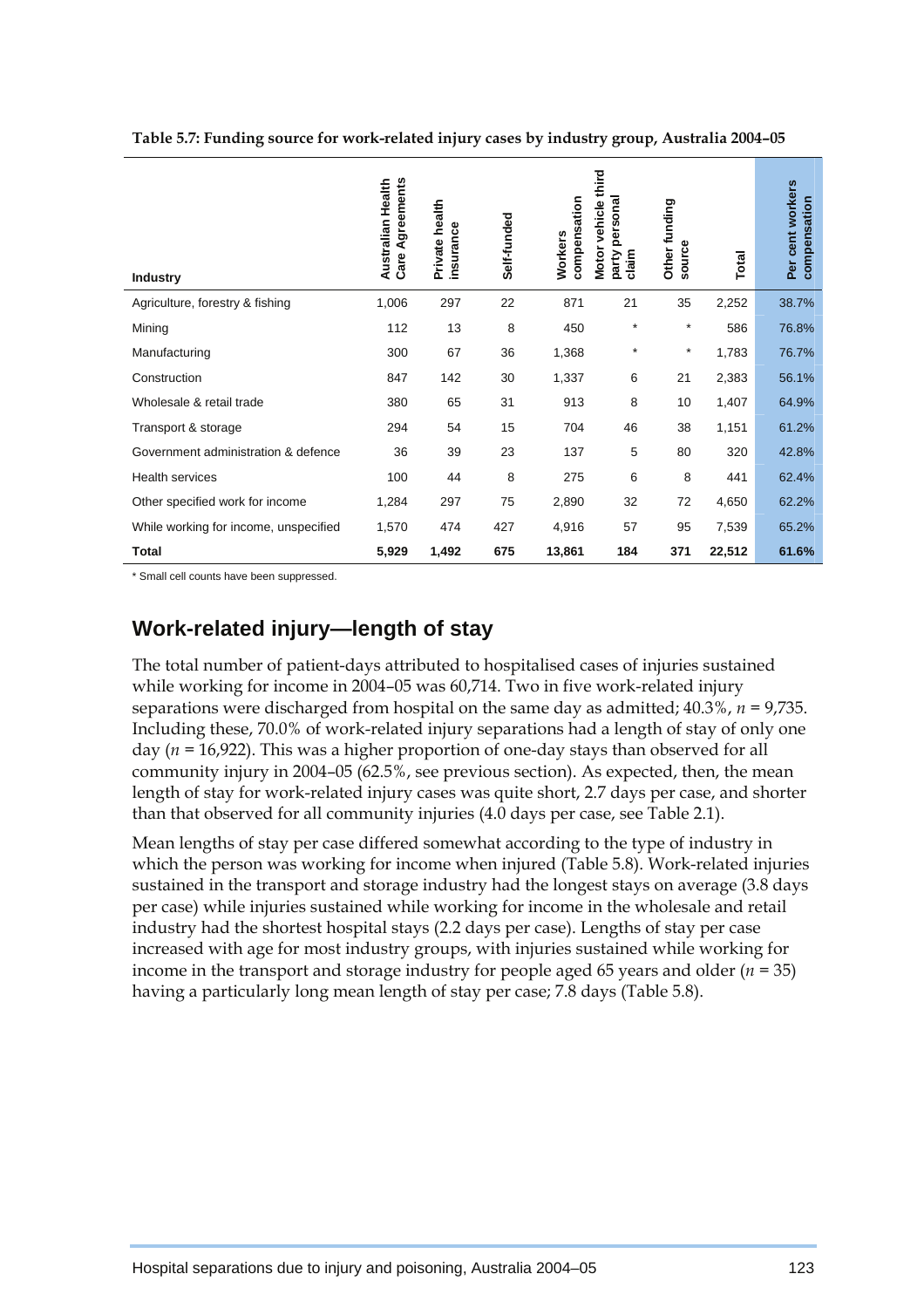| <b>Industry</b>                       | Agreements<br>Australian Health<br>Care | Private health<br>insurance | Self-funded | compensation<br><b>Workers</b> | third<br>persona<br>vehicle<br><b>Motor</b><br>claim<br>party | Other funding<br>source | Total  | Per cent workers<br>compensation |
|---------------------------------------|-----------------------------------------|-----------------------------|-------------|--------------------------------|---------------------------------------------------------------|-------------------------|--------|----------------------------------|
| Agriculture, forestry & fishing       | 1,006                                   | 297                         | 22          | 871                            | 21                                                            | 35                      | 2,252  | 38.7%                            |
| Mining                                | 112                                     | 13                          | 8           | 450                            | $\star$                                                       | $\star$                 | 586    | 76.8%                            |
| Manufacturing                         | 300                                     | 67                          | 36          | 1,368                          | $\star$                                                       | $\star$                 | 1,783  | 76.7%                            |
| Construction                          | 847                                     | 142                         | 30          | 1,337                          | 6                                                             | 21                      | 2,383  | 56.1%                            |
| Wholesale & retail trade              | 380                                     | 65                          | 31          | 913                            | 8                                                             | 10                      | 1,407  | 64.9%                            |
| Transport & storage                   | 294                                     | 54                          | 15          | 704                            | 46                                                            | 38                      | 1,151  | 61.2%                            |
| Government administration & defence   | 36                                      | 39                          | 23          | 137                            | 5                                                             | 80                      | 320    | 42.8%                            |
| <b>Health services</b>                | 100                                     | 44                          | 8           | 275                            | 6                                                             | 8                       | 441    | 62.4%                            |
| Other specified work for income       | 1,284                                   | 297                         | 75          | 2,890                          | 32                                                            | 72                      | 4,650  | 62.2%                            |
| While working for income, unspecified | 1,570                                   | 474                         | 427         | 4,916                          | 57                                                            | 95                      | 7,539  | 65.2%                            |
| <b>Total</b>                          | 5,929                                   | 1,492                       | 675         | 13,861                         | 184                                                           | 371                     | 22,512 | 61.6%                            |

**Table 5.7: Funding source for work-related injury cases by industry group, Australia 2004–05** 

\* Small cell counts have been suppressed.

## **Work-related injury—length of stay**

The total number of patient-days attributed to hospitalised cases of injuries sustained while working for income in 2004–05 was 60,714. Two in five work-related injury separations were discharged from hospital on the same day as admitted; 40.3%, *n =* 9,735. Including these, 70.0% of work-related injury separations had a length of stay of only one day (*n =* 16,922). This was a higher proportion of one-day stays than observed for all community injury in 2004–05 (62.5%, see previous section). As expected, then, the mean length of stay for work-related injury cases was quite short, 2.7 days per case, and shorter than that observed for all community injuries (4.0 days per case, see Table 2.1).

Mean lengths of stay per case differed somewhat according to the type of industry in which the person was working for income when injured (Table 5.8). Work-related injuries sustained in the transport and storage industry had the longest stays on average (3.8 days per case) while injuries sustained while working for income in the wholesale and retail industry had the shortest hospital stays (2.2 days per case). Lengths of stay per case increased with age for most industry groups, with injuries sustained while working for income in the transport and storage industry for people aged 65 years and older (*n =* 35) having a particularly long mean length of stay per case; 7.8 days (Table 5.8).